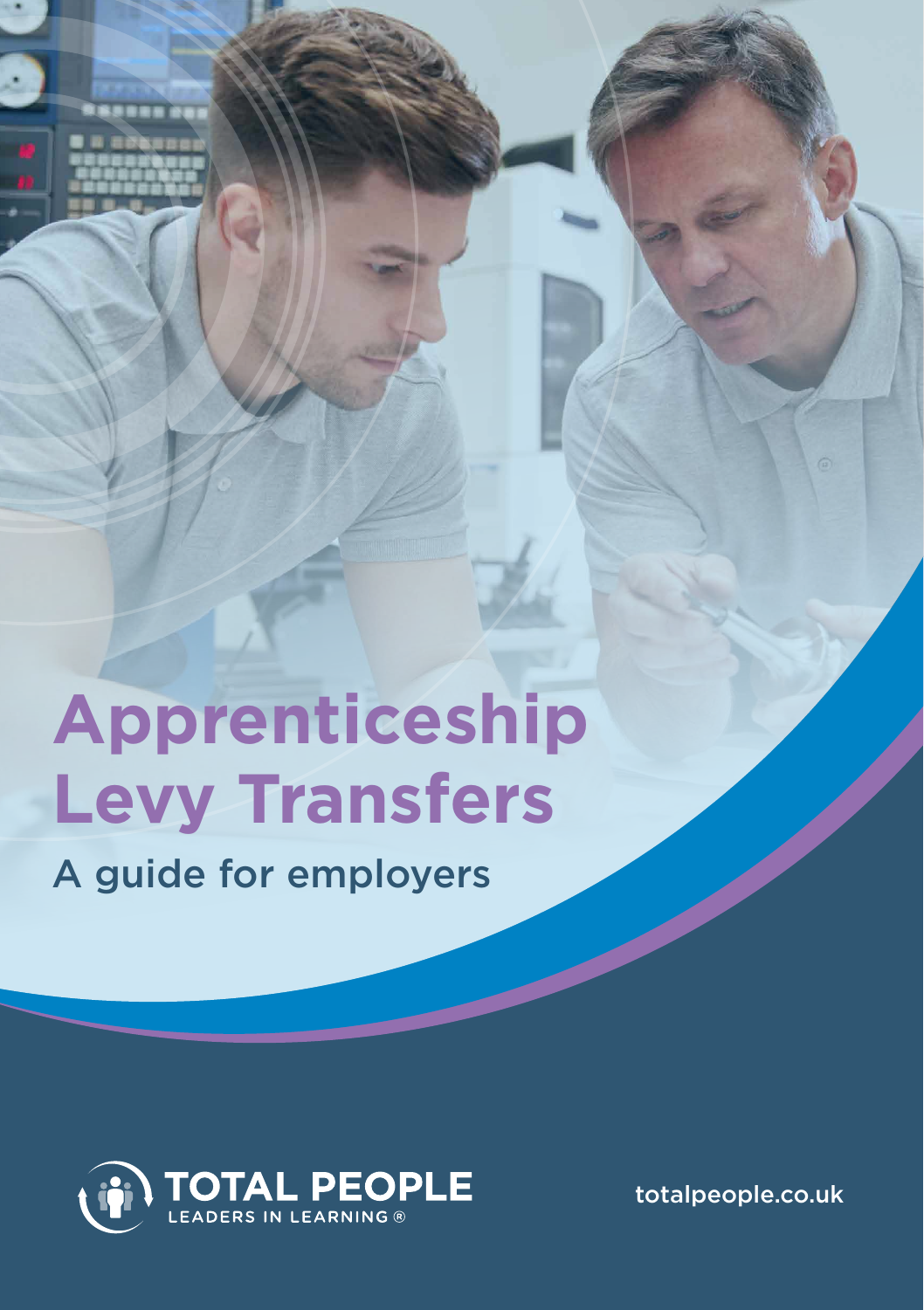

**Cover** 

A guide for employers



totalpeople.co.uk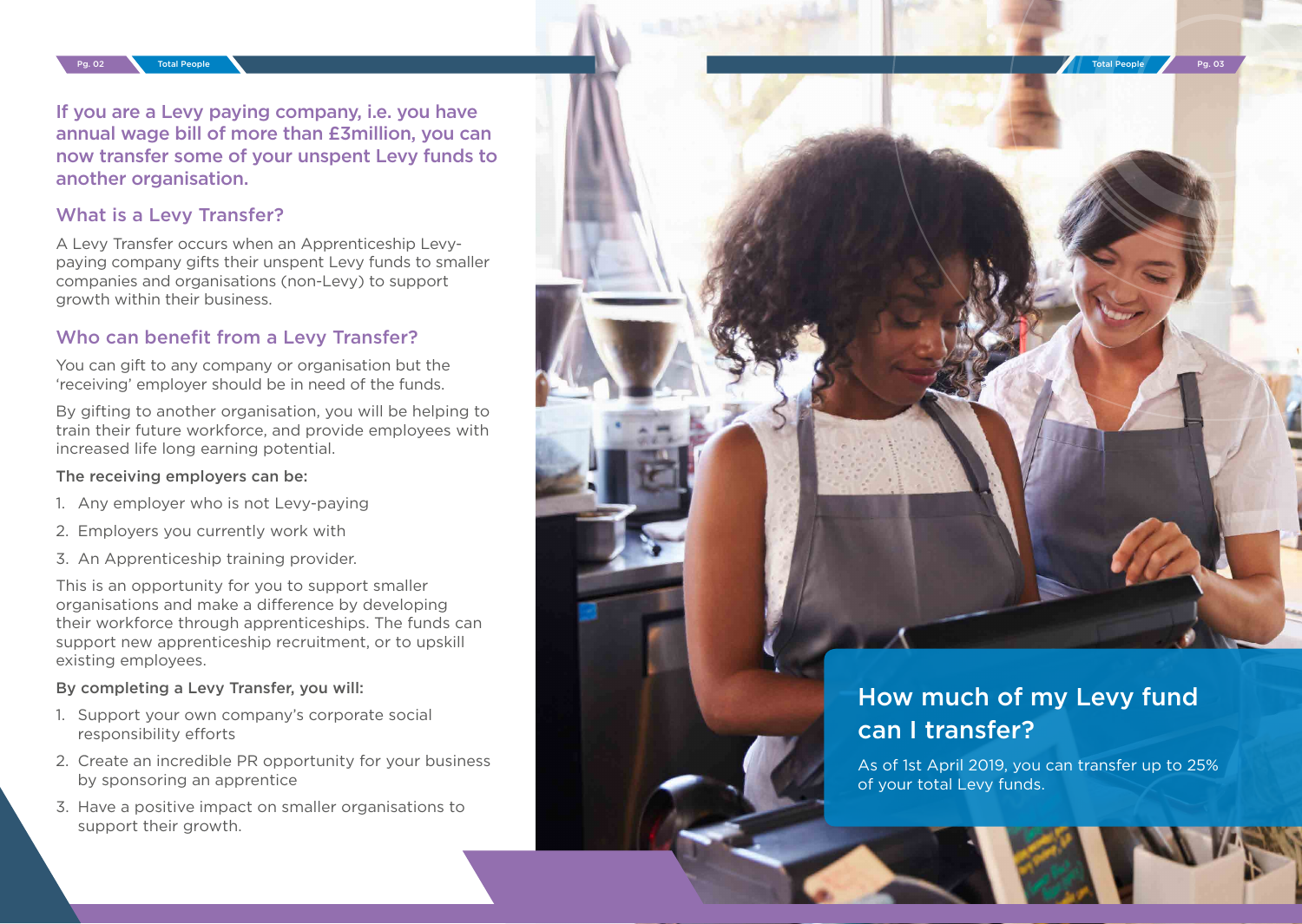Pg. 02 Total People Pg. 03 Total People Pg. 03

If you are a Levy paying company, i.e. you have annual wage bill of more than £3million, you can now transfer some of your unspent Levy funds to another organisation.

#### What is a Levy Transfer?

A Levy Transfer occurs when an Apprenticeship Levypaying company gifts their unspent Levy funds to smaller companies and organisations (non-Levy) to support growth within their business.

#### Who can benefit from a Levy Transfer?

You can gift to any company or organisation but the 'receiving' employer should be in need of the funds.

By gifting to another organisation, you will be helping to train their future workforce, and provide employees with increased life long earning potential.

#### The receiving employers can be:

- 1. Any employer who is not Levy-paying
- 2. Employers you currently work with
- 3. An Apprenticeship training provider.

This is an opportunity for you to support smaller organisations and make a difference by developing their workforce through apprenticeships. The funds can support new apprenticeship recruitment, or to upskill existing employees.

#### By completing a Levy Transfer, you will:

- 1. Support your own company's corporate social responsibility efforts
- 2. Create an incredible PR opportunity for your business by sponsoring an apprentice
- 3. Have a positive impact on smaller organisations to support their growth.



# How much of my Levy fund can I transfer?

As of 1st April 2019, you can transfer up to 25% of your total Levy funds.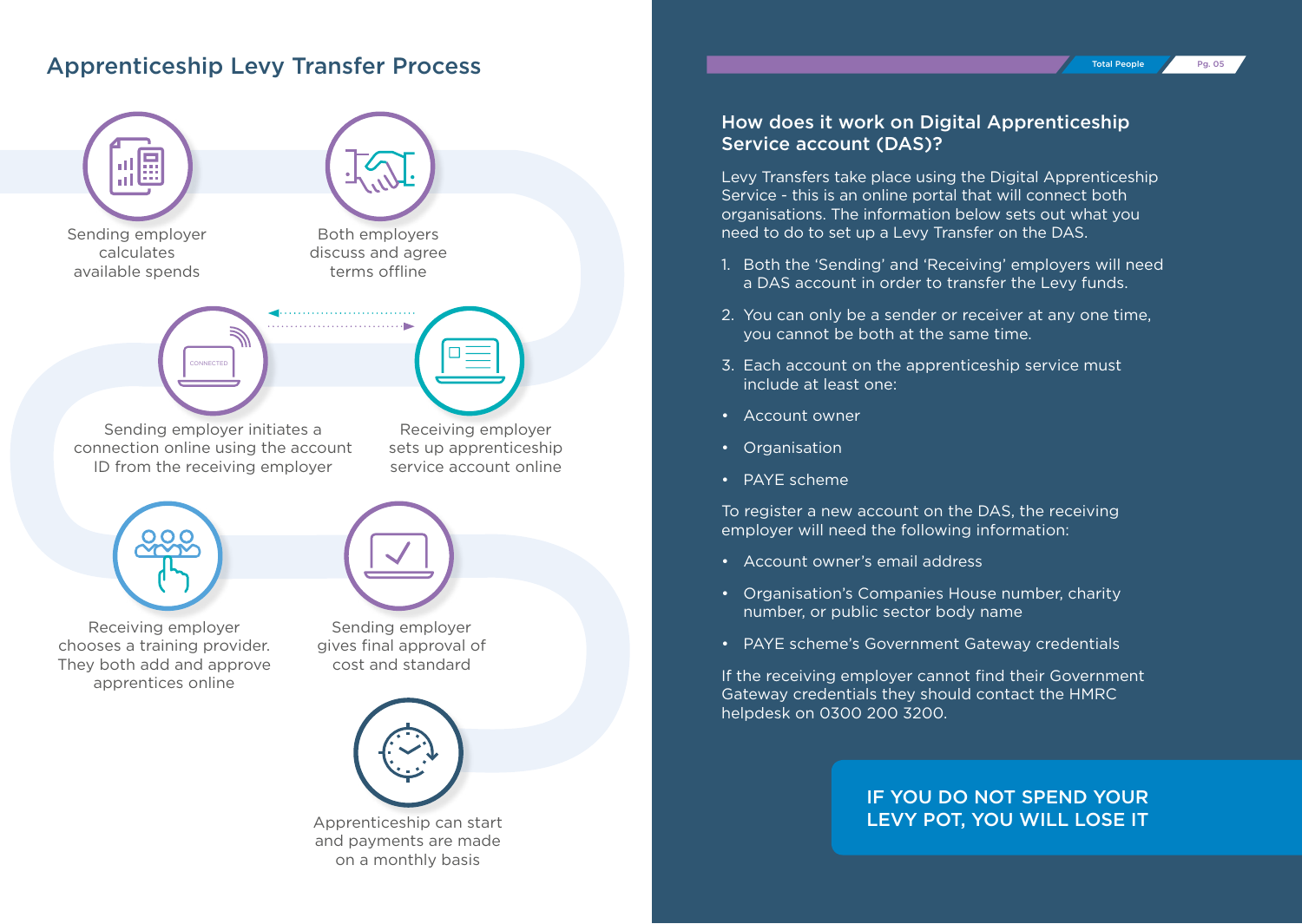## Apprenticeship Levy Transfer Process



### How does it work on Digital Apprenticeship Service account (DAS)?

Total People Pg. 05

Levy Transfers take place using the Digital Apprenticeship Service - this is an online portal that will connect both organisations. The information below sets out what you need to do to set up a Levy Transfer on the DAS.

- 1. Both the 'Sending' and 'Receiving' employers will need a DAS account in order to transfer the Levy funds.
- 2. You can only be a sender or receiver at any one time, you cannot be both at the same time.
- 3. Each account on the apprenticeship service must include at least one:
- Account owner
- Organisation
- PAYE scheme

To register a new account on the DAS, the receiving employer will need the following information:

- Account owner's email address
- Organisation's Companies House number, charity number, or public sector body name
- PAYE scheme's Government Gateway credentials

If the receiving employer cannot find their Government Gateway credentials they should contact the HMRC helpdesk on 0300 200 3200.

#### IF YOU DO NOT SPEND YOUR LEVY POT, YOU WILL LOSE IT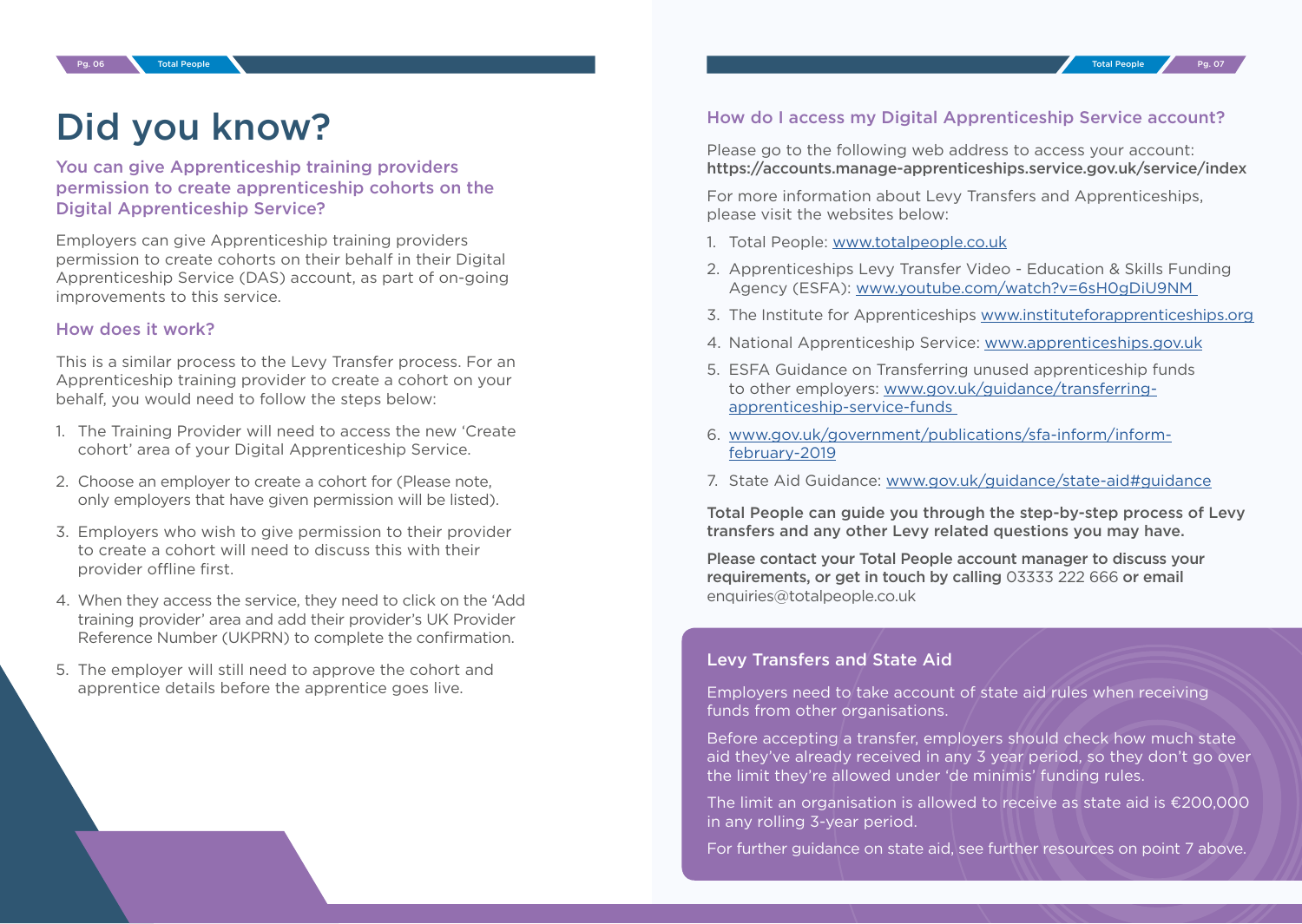# Did you know?

You can give Apprenticeship training providers permission to create apprenticeship cohorts on the Digital Apprenticeship Service?

Employers can give Apprenticeship training providers permission to create cohorts on their behalf in their Digital Apprenticeship Service (DAS) account, as part of on-going improvements to this service.

#### How does it work?

This is a similar process to the Levy Transfer process. For an Apprenticeship training provider to create a cohort on your behalf, you would need to follow the steps below:

- 1. The Training Provider will need to access the new 'Create cohort' area of your Digital Apprenticeship Service.
- 2. Choose an employer to create a cohort for (Please note, only employers that have given permission will be listed).
- 3. Employers who wish to give permission to their provider to create a cohort will need to discuss this with their provider offline first.
- 4. When they access the service, they need to click on the 'Add training provider' area and add their provider's UK Provider Reference Number (UKPRN) to complete the confirmation.
- 5. The employer will still need to approve the cohort and apprentice details before the apprentice goes live.

#### How do I access my Digital Apprenticeship Service account?

Please go to the following web address to access your account: https://accounts.manage-apprenticeships.service.gov.uk/service/index

For more information about Levy Transfers and Apprenticeships, please visit the websites below:

- 1. Total People: [www.totalpeople.co.uk](http://www.totalpeople.co.uk  )
- 2. Apprenticeships Levy Transfer Video Education & Skills Funding Agency (ESFA): [www.youtube.com/watch?v=6sH0gDiU9NM](http://www.youtube.com/watch?v=6sH0gDiU9NM )
- 3. The Institute for Apprenticeships [www.instituteforapprenticeships.org](http://www.instituteforapprenticeships.org )
- 4. National Apprenticeship Service: [www.apprenticeships.gov.uk](http://www.apprenticeships.gov.uk)
- 5. ESFA Guidance on Transferring unused apprenticeship funds to other employers: [www.gov.uk/guidance/transferring](http://www.gov.uk/guidance/transferring-apprenticeship-service-funds )[apprenticeship-service-funds](http://www.gov.uk/guidance/transferring-apprenticeship-service-funds )
- 6. [www.gov.uk/government/publications/sfa-inform/inform](http://www.gov.uk/government/publications/sfa-inform/inform-february-2019)[february-2019](http://www.gov.uk/government/publications/sfa-inform/inform-february-2019)
- 7. State Aid Guidance: [www.gov.uk/guidance/state-aid#guidance](http://www.gov.uk/guidance/state-aid#guidance)

Total People can guide you through the step-by-step process of Levy transfers and any other Levy related questions you may have.

Please contact your Total People account manager to discuss your requirements, or get in touch by calling 03333 222 666 or email enquiries@totalpeople.co.uk

#### Levy Transfers and State Aid

Employers need to take account of state aid rules when receiving funds from other organisations.

Before accepting a transfer, employers should check how much state aid they've already received in any 3 year period, so they don't go over the limit they're allowed under 'de minimis' funding rules.

The limit an organisation is allowed to receive as state aid is €200,000 in any rolling 3-year period.

For further guidance on state aid, see further resources on point 7 above.